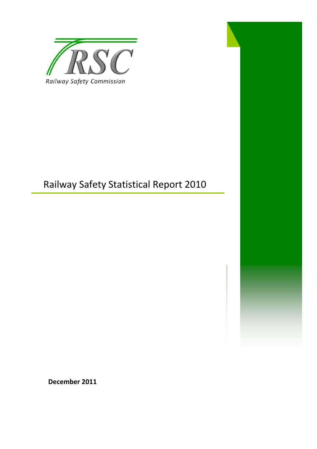

# Railway Safety Statistical Report 2010

**December 2011**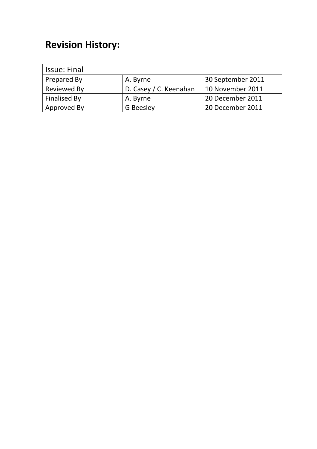# **Revision History:**

| <b>Issue: Final</b> |                        |                   |
|---------------------|------------------------|-------------------|
| Prepared By         | A. Byrne               | 30 September 2011 |
| <b>Reviewed By</b>  | D. Casey / C. Keenahan | 10 November 2011  |
| <b>Finalised By</b> | A. Byrne               | 20 December 2011  |
| Approved By         | <b>G</b> Beesley       | 20 December 2011  |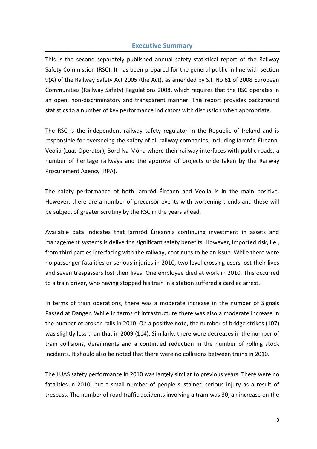### **Executive Summary**

This is the second separately published annual safety statistical report of the Railway Safety Commission (RSC). It has been prepared for the general public in line with section 9(A) of the Railway Safety Act 2005 (the Act), as amended by S.I. No 61 of 2008 European Communities (Railway Safety) Regulations 2008, which requires that the RSC operates in an open, non-discriminatory and transparent manner. This report provides background statistics to a number of key performance indicators with discussion when appropriate.

The RSC is the independent railway safety regulator in the Republic of Ireland and is responsible for overseeing the safety of all railway companies, including Iarnród Éireann, Veolia (Luas Operator), Bord Na Móna where their railway interfaces with public roads, a number of heritage railways and the approval of projects undertaken by the Railway Procurement Agency (RPA).

The safety performance of both Iarnród Éireann and Veolia is in the main positive. However, there are a number of precursor events with worsening trends and these will be subject of greater scrutiny by the RSC in the years ahead.

Available data indicates that Iarnród Éireann's continuing investment in assets and management systems is delivering significant safety benefits. However, imported risk, i.e., from third parties interfacing with the railway, continues to be an issue. While there were no passenger fatalities or serious injuries in 2010, two level crossing users lost their lives and seven trespassers lost their lives. One employee died at work in 2010. This occurred to a train driver, who having stopped his train in a station suffered a cardiac arrest.

In terms of train operations, there was a moderate increase in the number of Signals Passed at Danger. While in terms of infrastructure there was also a moderate increase in the number of broken rails in 2010. On a positive note, the number of bridge strikes (107) was slightly less than that in 2009 (114). Similarly, there were decreases in the number of train collisions, derailments and a continued reduction in the number of rolling stock incidents. It should also be noted that there were no collisions between trains in 2010.

The LUAS safety performance in 2010 was largely similar to previous years. There were no fatalities in 2010, but a small number of people sustained serious injury as a result of trespass. The number of road traffic accidents involving a tram was 30, an increase on the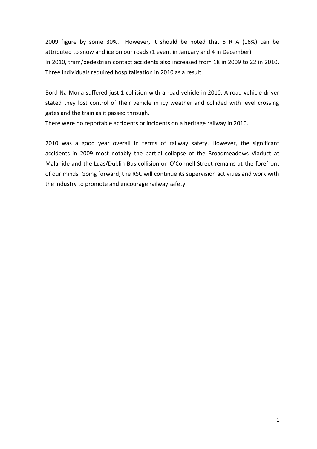2009 figure by some 30%. However, it should be noted that 5 RTA (16%) can be attributed to snow and ice on our roads (1 event in January and 4 in December). In 2010, tram/pedestrian contact accidents also increased from 18 in 2009 to 22 in 2010. Three individuals required hospitalisation in 2010 as a result.

Bord Na Móna suffered just 1 collision with a road vehicle in 2010. A road vehicle driver stated they lost control of their vehicle in icy weather and collided with level crossing gates and the train as it passed through.

There were no reportable accidents or incidents on a heritage railway in 2010.

2010 was a good year overall in terms of railway safety. However, the significant accidents in 2009 most notably the partial collapse of the Broadmeadows Viaduct at Malahide and the Luas/Dublin Bus collision on O'Connell Street remains at the forefront of our minds. Going forward, the RSC will continue its supervision activities and work with the industry to promote and encourage railway safety.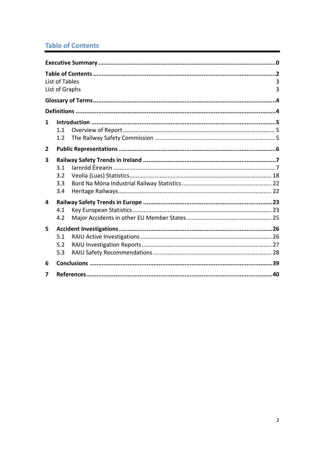# **Table of Contents**

|                | List of Tables<br>List of Graphs | 3<br>3 |
|----------------|----------------------------------|--------|
|                |                                  |        |
|                |                                  |        |
| 1              | 1.1<br>1.2                       |        |
| $\overline{2}$ |                                  |        |
| 3              | 3.1<br>3.2<br>3.3<br>3.4         |        |
| 4              | 4.1<br>4.2                       |        |
| 5              | 5.1<br>5.2<br>5.3                |        |
| 6              |                                  |        |
| 7              |                                  |        |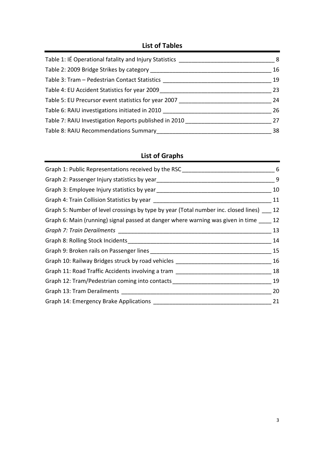# **List of Tables**

| Table 1: IÉ Operational fatality and Injury Statistics ____ | 8  |
|-------------------------------------------------------------|----|
| Table 2: 2009 Bridge Strikes by category                    | 16 |
| Table 3: Tram - Pedestrian Contact Statistics               | 19 |
| Table 4: EU Accident Statistics for year 2009               | 23 |
| Table 5: EU Precursor event statistics for year 2007        | 24 |
| Table 6: RAIU investigations initiated in 2010              | 26 |
| Table 7: RAIU Investigation Reports published in 2010       | 27 |
| Table 8: RAIU Recommendations Summary                       | 38 |

# **List of Graphs**

| Graph 1: Public Representations received by the RSC ____________________________                               | 6  |
|----------------------------------------------------------------------------------------------------------------|----|
| Graph 2: Passenger Injury statistics by year ___________________________________                               | 9  |
|                                                                                                                | 10 |
|                                                                                                                | 11 |
| Graph 5: Number of level crossings by type by year (Total number inc. closed lines)                            | 12 |
| Graph 6: Main (running) signal passed at danger where warning was given in time                                | 12 |
|                                                                                                                | 13 |
| Graph 8: Rolling Stock Incidents [19] [19] Stock Incidents [19] [19] [19] Cameran May 2014 [19] [19] [19] [19] | 14 |
|                                                                                                                | 15 |
| Graph 10: Railway Bridges struck by road vehicles ______________________________                               | 16 |
| Graph 11: Road Traffic Accidents involving a tram ______________________________                               | 18 |
| Graph 12: Tram/Pedestrian coming into contacts                                                                 | 19 |
| Graph 13: Tram Derailments <b>Example 20</b>                                                                   | 20 |
| Graph 14: Emergency Brake Applications                                                                         | 21 |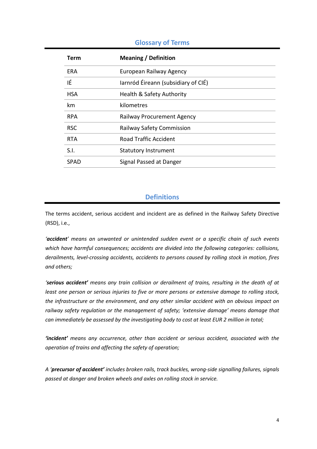### **Glossary of Terms**

| Term       | <b>Meaning / Definition</b>         |
|------------|-------------------------------------|
| ERA        | European Railway Agency             |
| ΙÉ         | larnród Éireann (subsidiary of CIÉ) |
| <b>HSA</b> | Health & Safety Authority           |
| km         | kilometres                          |
| <b>RPA</b> | Railway Procurement Agency          |
| <b>RSC</b> | <b>Railway Safety Commission</b>    |
| <b>RTA</b> | <b>Road Traffic Accident</b>        |
| S.I.       | <b>Statutory Instrument</b>         |
| SPAD       | Signal Passed at Danger             |

## **Definitions**

The terms accident, serious accident and incident are as defined in the Railway Safety Directive (RSD), i.e.,

*'accident' means an unwanted or unintended sudden event or a specific chain of such events which have harmful consequences; accidents are divided into the following categories: collisions, derailments, level-crossing accidents, accidents to persons caused by rolling stock in motion, fires and others;*

*'serious accident' means any train collision or derailment of trains, resulting in the death of at least one person or serious injuries to five or more persons or extensive damage to rolling stock, the infrastructure or the environment, and any other similar accident with an obvious impact on railway safety regulation or the management of safety; 'extensive damage' means damage that can immediately be assessed by the investigating body to cost at least EUR 2 million in total;*

*'incident' means any occurrence, other than accident or serious accident, associated with the operation of trains and affecting the safety of operation;*

*A 'precursor of accident' includes broken rails, track buckles, wrong-side signalling failures, signals passed at danger and broken wheels and axles on rolling stock in service.*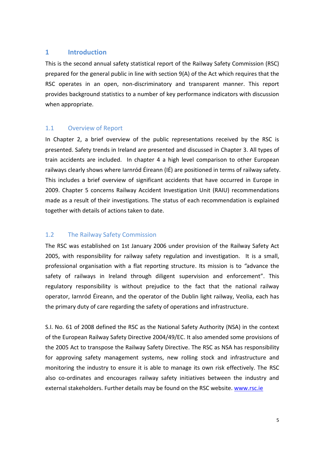### **1 Introduction**

This is the second annual safety statistical report of the Railway Safety Commission (RSC) prepared for the general public in line with section 9(A) of the Act which requires that the RSC operates in an open, non-discriminatory and transparent manner. This report provides background statistics to a number of key performance indicators with discussion when appropriate.

### 1.1 Overview of Report

In Chapter 2, a brief overview of the public representations received by the RSC is presented. Safety trends in Ireland are presented and discussed in Chapter 3. All types of train accidents are included. In chapter 4 a high level comparison to other European railways clearly shows where Iarnród Éireann (IÉ) are positioned in terms of railway safety. This includes a brief overview of significant accidents that have occurred in Europe in 2009. Chapter 5 concerns Railway Accident Investigation Unit (RAIU) recommendations made as a result of their investigations. The status of each recommendation is explained together with details of actions taken to date.

## 1.2 The Railway Safety Commission

The RSC was established on 1st January 2006 under provision of the Railway Safety Act 2005, with responsibility for railway safety regulation and investigation. It is a small, professional organisation with a flat reporting structure. Its mission is to *"*advance the safety of railways in Ireland through diligent supervision and enforcement". This regulatory responsibility is without prejudice to the fact that the national railway operator, Iarnród Éireann, and the operator of the Dublin light railway, Veolia, each has the primary duty of care regarding the safety of operations and infrastructure.

S.I. No. 61 of 2008 defined the RSC as the National Safety Authority (NSA) in the context of the European Railway Safety Directive 2004/49/EC. It also amended some provisions of the 2005 Act to transpose the Railway Safety Directive. The RSC as NSA has responsibility for approving safety management systems, new rolling stock and infrastructure and monitoring the industry to ensure it is able to manage its own risk effectively. The RSC also co-ordinates and encourages railway safety initiatives between the industry and external stakeholders. Further details may be found on the RSC website. [www.rsc.ie](http://www.rsc.ie/)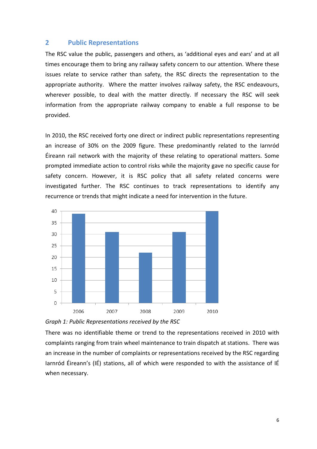#### **2 Public Representations**

The RSC value the public, passengers and others, as 'additional eyes and ears' and at all times encourage them to bring any railway safety concern to our attention. Where these issues relate to service rather than safety, the RSC directs the representation to the appropriate authority. Where the matter involves railway safety, the RSC endeavours, wherever possible, to deal with the matter directly. If necessary the RSC will seek information from the appropriate railway company to enable a full response to be provided.

In 2010, the RSC received forty one direct or indirect public representations representing an increase of 30% on the 2009 figure. These predominantly related to the Iarnród Éireann rail network with the majority of these relating to operational matters. Some prompted immediate action to control risks while the majority gave no specific cause for safety concern. However, it is RSC policy that all safety related concerns were investigated further. The RSC continues to track representations to identify any recurrence or trends that might indicate a need for intervention in the future.





There was no identifiable theme or trend to the representations received in 2010 with complaints ranging from train wheel maintenance to train dispatch at stations. There was an increase in the number of complaints or representations received by the RSC regarding Iarnród Éireann's (IÉ) stations, all of which were responded to with the assistance of IÉ when necessary.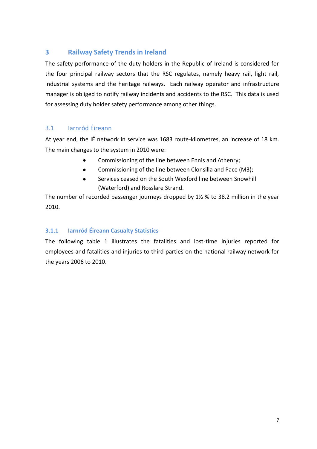# **3 Railway Safety Trends in Ireland**

The safety performance of the duty holders in the Republic of Ireland is considered for the four principal railway sectors that the RSC regulates, namely heavy rail, light rail, industrial systems and the heritage railways. Each railway operator and infrastructure manager is obliged to notify railway incidents and accidents to the RSC. This data is used for assessing duty holder safety performance among other things.

# 3.1 Iarnród Éireann

At year end, the IÉ network in service was 1683 route-kilometres, an increase of 18 km. The main changes to the system in 2010 were:

- $\bullet$ Commissioning of the line between Ennis and Athenry;
- Commissioning of the line between Clonsilla and Pace (M3);  $\bullet$
- Services ceased on the South Wexford line between Snowhill  $\bullet$ (Waterford) and Rosslare Strand.

The number of recorded passenger journeys dropped by 1½ % to 38.2 million in the year 2010.

## **3.1.1 Iarnród Éireann Casualty Statistics**

The following table 1 illustrates the fatalities and lost-time injuries reported for employees and fatalities and injuries to third parties on the national railway network for the years 2006 to 2010.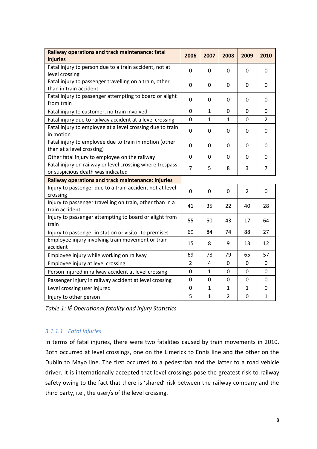| Railway operations and track maintenance: fatal<br>injuries                                   | 2006             | 2007         | 2008           | 2009           | 2010           |
|-----------------------------------------------------------------------------------------------|------------------|--------------|----------------|----------------|----------------|
| Fatal injury to person due to a train accident, not at<br>level crossing                      | $\mathbf 0$      | $\mathbf 0$  | $\mathbf 0$    | $\mathbf 0$    | $\mathbf 0$    |
| Fatal injury to passenger travelling on a train, other<br>than in train accident              | $\mathbf 0$      | $\mathbf 0$  | $\mathbf 0$    | $\mathbf 0$    | $\mathbf 0$    |
| Fatal injury to passenger attempting to board or alight<br>from train                         | $\mathbf 0$      | 0            | $\mathbf 0$    | $\mathbf 0$    | $\mathbf 0$    |
| Fatal injury to customer, no train involved                                                   | $\overline{0}$   | $\mathbf{1}$ | $\mathbf 0$    | $\Omega$       | $\mathbf 0$    |
| Fatal injury due to railway accident at a level crossing                                      | $\mathbf 0$      | $\mathbf{1}$ | $\mathbf{1}$   | 0              | $\overline{2}$ |
| Fatal injury to employee at a level crossing due to train<br>in motion                        | $\boldsymbol{0}$ | $\mathbf 0$  | $\mathbf 0$    | $\mathbf 0$    | $\mathbf 0$    |
| Fatal injury to employee due to train in motion (other<br>than at a level crossing)           | 0                | 0            | 0              | 0              | 0              |
| Other fatal injury to employee on the railway                                                 | $\mathbf 0$      | $\mathbf 0$  | $\mathbf 0$    | $\mathbf 0$    | 0              |
| Fatal injury on railway or level crossing where trespass<br>or suspicious death was indicated | $\overline{7}$   | 5            | 8              | 3              | $\overline{7}$ |
| Railway operations and track maintenance: injuries                                            |                  |              |                |                |                |
| Injury to passenger due to a train accident not at level<br>crossing                          | $\mathbf 0$      | $\mathbf 0$  | $\mathbf 0$    | $\overline{2}$ | 0              |
| Injury to passenger travelling on train, other than in a<br>train accident                    | 41               | 35           | 22             | 40             | 28             |
| Injury to passenger attempting to board or alight from<br>train                               | 55               | 50           | 43             | 17             | 64             |
| Injury to passenger in station or visitor to premises                                         | 69               | 84           | 74             | 88             | 27             |
| Employee injury involving train movement or train<br>accident                                 | 15               | 8            | 9              | 13             | 12             |
| Employee injury while working on railway                                                      | 69               | 78           | 79             | 65             | 57             |
| Employee injury at level crossing                                                             | $\overline{2}$   | 4            | 0              | 0              | 0              |
| Person injured in railway accident at level crossing                                          | $\mathbf 0$      | $\mathbf{1}$ | $\mathbf 0$    | $\mathbf 0$    | $\mathbf 0$    |
| Passenger injury in railway accident at level crossing                                        | $\mathbf 0$      | $\mathbf 0$  | 0              | $\mathbf 0$    | 0              |
| Level crossing user injured                                                                   | $\mathbf 0$      | $\mathbf{1}$ | $\mathbf{1}$   | $\mathbf{1}$   | $\mathbf 0$    |
| Injury to other person                                                                        | 5                | $\mathbf{1}$ | $\overline{2}$ | $\mathbf 0$    | $\mathbf{1}$   |

*Table 1: IÉ Operational fatality and Injury Statistics*

## *3.1.1.1 Fatal Injuries*

In terms of fatal injuries, there were two fatalities caused by train movements in 2010. Both occurred at level crossings, one on the Limerick to Ennis line and the other on the Dublin to Mayo line. The first occurred to a pedestrian and the latter to a road vehicle driver. It is internationally accepted that level crossings pose the greatest risk to railway safety owing to the fact that there is 'shared' risk between the railway company and the third party, i.e., the user/s of the level crossing.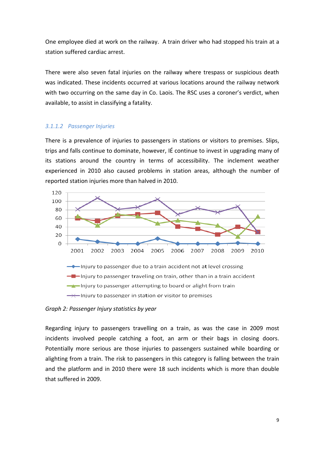One employee died at work on the railway. A train driver who had stopped his train at a station suffered cardiac arrest.

There were also seven fatal injuries on the railway where trespass or suspicious death was indicated. These incidents occurred at various locations around the railway network with two occurring on the same day in Co. Laois. The RSC uses a coroner's verdict, when available, to assist in classifying a fatality.

#### *3.1.1.2 Passenger Injuries*

There is a prevalence of injuries to passengers in stations or visitors to premises. Slips, trips and falls continue to dominate, however, IÉ continue to invest in upgrading many of its stations around the country in terms of accessibility. The inclement weather experienced in 2010 also caused problems in station areas, although the number of reported station injuries more than halved in 2010.



*Graph 2: Passenger Injury statistics by year*

Regarding injury to passengers travelling on a train, as was the case in 2009 most incidents involved people catching a foot, an arm or their bags in closing doors. Potentially more serious are those injuries to passengers sustained while boarding or alighting from a train. The risk to passengers in this category is falling between the train and the platform and in 2010 there were 18 such incidents which is more than double that suffered in 2009.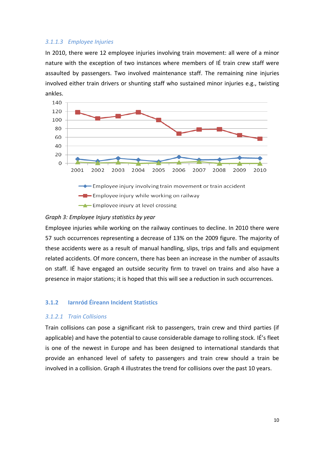#### *3.1.1.3 Employee Injuries*

In 2010, there were 12 employee injuries involving train movement: all were of a minor nature with the exception of two instances where members of IÉ train crew staff were assaulted by passengers. Two involved maintenance staff. The remaining nine injuries involved either train drivers or shunting staff who sustained minor injuries e.g., twisting ankles.



Employee injury at level crossing

#### *Graph 3: Employee Injury statistics by year*

Employee injuries while working on the railway continues to decline. In 2010 there were 57 such occurrences representing a decrease of 13% on the 2009 figure. The majority of these accidents were as a result of manual handling, slips, trips and falls and equipment related accidents. Of more concern, there has been an increase in the number of assaults on staff. IÉ have engaged an outside security firm to travel on trains and also have a presence in major stations; it is hoped that this will see a reduction in such occurrences.

### **3.1.2 Iarnród Éireann Incident Statistics**

#### *3.1.2.1 Train Collisions*

Train collisions can pose a significant risk to passengers, train crew and third parties (if applicable) and have the potential to cause considerable damage to rolling stock. IÉ's fleet is one of the newest in Europe and has been designed to international standards that provide an enhanced level of safety to passengers and train crew should a train be involved in a collision. Graph 4 illustrates the trend for collisions over the past 10 years.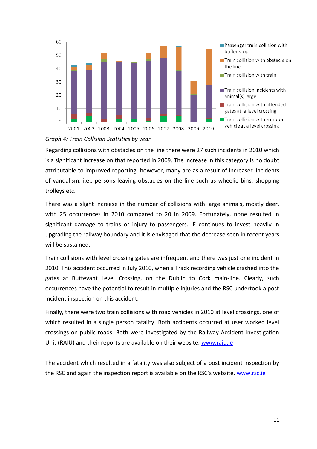

#### *Graph 4: Train Collision Statistics by year*

Regarding collisions with obstacles on the line there were 27 such incidents in 2010 which is a significant increase on that reported in 2009. The increase in this category is no doubt attributable to improved reporting, however, many are as a result of increased incidents of vandalism, i.e., persons leaving obstacles on the line such as wheelie bins, shopping trolleys etc.

There was a slight increase in the number of collisions with large animals, mostly deer, with 25 occurrences in 2010 compared to 20 in 2009. Fortunately, none resulted in significant damage to trains or injury to passengers. IÉ continues to invest heavily in upgrading the railway boundary and it is envisaged that the decrease seen in recent years will be sustained.

Train collisions with level crossing gates are infrequent and there was just one incident in 2010. This accident occurred in July 2010, when a Track recording vehicle crashed into the gates at Buttevant Level Crossing, on the Dublin to Cork main-line. Clearly, such occurrences have the potential to result in multiple injuries and the RSC undertook a post incident inspection on this accident.

Finally, there were two train collisions with road vehicles in 2010 at level crossings, one of which resulted in a single person fatality. Both accidents occurred at user worked level crossings on public roads. Both were investigated by the Railway Accident Investigation Unit (RAIU) and their reports are available on their website. [www.raiu.ie](http://www.raiu.ie/)

The accident which resulted in a fatality was also subject of a post incident inspection by the RSC and again the inspection report is available on the RSC's website. [www.rsc.ie](http://www.rsc.ie/)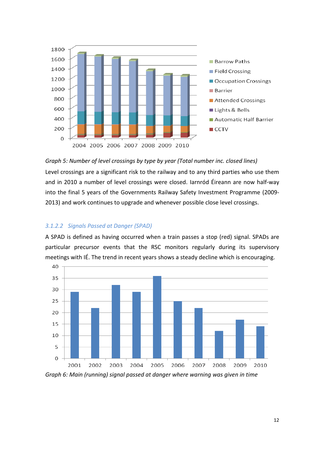

*Graph 5: Number of level crossings by type by year (Total number inc. closed lines)* Level crossings are a significant risk to the railway and to any third parties who use them and in 2010 a number of level crossings were closed. Iarnród Éireann are now half-way into the final 5 years of the Governments Railway Safety Investment Programme (2009-

2013) and work continues to upgrade and whenever possible close level crossings.

#### *3.1.2.2 Signals Passed at Danger (SPAD)*

A SPAD is defined as having occurred when a train passes a stop (red) signal. SPADs are particular precursor events that the RSC monitors regularly during its supervisory meetings with IÉ. The trend in recent years shows a steady decline which is encouraging.

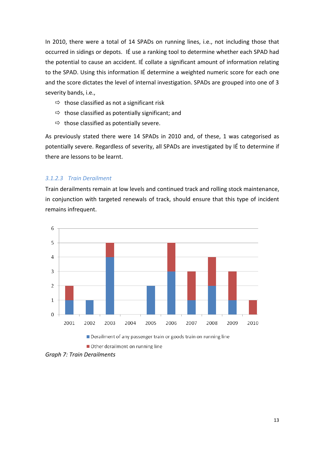In 2010, there were a total of 14 SPADs on running lines, i.e., not including those that occurred in sidings or depots. IÉ use a ranking tool to determine whether each SPAD had the potential to cause an accident. IÉ collate a significant amount of information relating to the SPAD. Using this information IÉ determine a weighted numeric score for each one and the score dictates the level of internal investigation. SPADs are grouped into one of 3 severity bands, i.e.,

- $\Rightarrow$  those classified as not a significant risk
- $\Rightarrow$  those classified as potentially significant; and
- $\Rightarrow$  those classified as potentially severe.

As previously stated there were 14 SPADs in 2010 and, of these, 1 was categorised as potentially severe. Regardless of severity, all SPADs are investigated by IÉ to determine if there are lessons to be learnt.

### *3.1.2.3 Train Derailment*

Train derailments remain at low levels and continued track and rolling stock maintenance, in conjunction with targeted renewals of track, should ensure that this type of incident remains infrequent.



Other derailment on running line

*Graph 7: Train Derailments*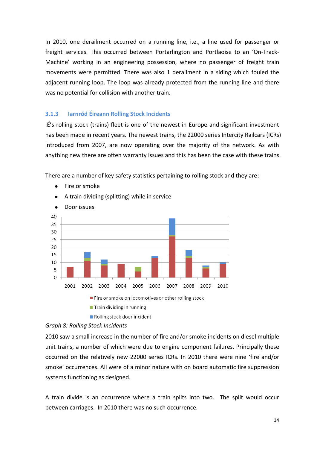In 2010, one derailment occurred on a running line, i.e., a line used for passenger or freight services. This occurred between Portarlington and Portlaoise to an 'On-Track-Machine' working in an engineering possession, where no passenger of freight train movements were permitted. There was also 1 derailment in a siding which fouled the adjacent running loop. The loop was already protected from the running line and there was no potential for collision with another train.

#### **3.1.3 Iarnród Éireann Rolling Stock Incidents**

IÉ's rolling stock (trains) fleet is one of the newest in Europe and significant investment has been made in recent years. The newest trains, the 22000 series Intercity Railcars (ICRs) introduced from 2007, are now operating over the majority of the network. As with anything new there are often warranty issues and this has been the case with these trains.

There are a number of key safety statistics pertaining to rolling stock and they are:

- Fire or smoke
- A train dividing (splitting) while in service  $\bullet$



Rolling stock door incident

Door issues  $\bullet$ 

#### *Graph 8: Rolling Stock Incidents*

2010 saw a small increase in the number of fire and/or smoke incidents on diesel multiple unit trains, a number of which were due to engine component failures. Principally these occurred on the relatively new 22000 series ICRs. In 2010 there were nine 'fire and/or smoke' occurrences. All were of a minor nature with on board automatic fire suppression systems functioning as designed.

A train divide is an occurrence where a train splits into two. The split would occur between carriages. In 2010 there was no such occurrence.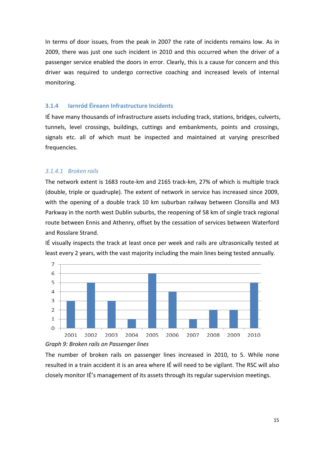In terms of door issues, from the peak in 2007 the rate of incidents remains low. As in 2009, there was just one such incident in 2010 and this occurred when the driver of a passenger service enabled the doors in error. Clearly, this is a cause for concern and this driver was required to undergo corrective coaching and increased levels of internal monitoring.

#### **3.1.4 Iarnród Éireann Infrastructure Incidents**

IÉ have many thousands of infrastructure assets including track, stations, bridges, culverts, tunnels, level crossings, buildings, cuttings and embankments, points and crossings, signals etc. all of which must be inspected and maintained at varying prescribed frequencies.

#### *3.1.4.1 Broken rails*

The network extent is 1683 route-km and 2165 track-km, 27% of which is multiple track (double, triple or quadruple). The extent of network in service has increased since 2009, with the opening of a double track 10 km suburban railway between Clonsilla and M3 Parkway in the north west Dublin suburbs, the reopening of 58 km of single track regional route between Ennis and Athenry, offset by the cessation of services between Waterford and Rosslare Strand.

IÉ visually inspects the track at least once per week and rails are ultrasonically tested at least every 2 years, with the vast majority including the main lines being tested annually.



#### *Graph 9: Broken rails on Passenger lines*

The number of broken rails on passenger lines increased in 2010, to 5. While none resulted in a train accident it is an area where IÉ will need to be vigilant. The RSC will also closely monitor IÉ's management of its assets through its regular supervision meetings.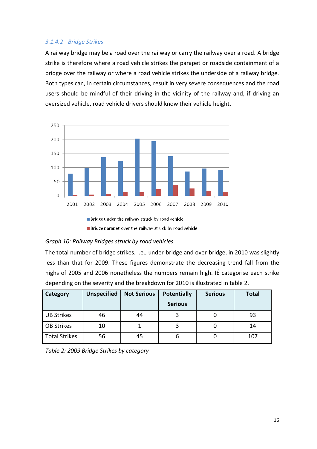### *3.1.4.2 Bridge Strikes*

A railway bridge may be a road over the railway or carry the railway over a road. A bridge strike is therefore where a road vehicle strikes the parapet or roadside containment of a bridge over the railway or where a road vehicle strikes the underside of a railway bridge. Both types can, in certain circumstances, result in very severe consequences and the road users should be mindful of their driving in the vicinity of the railway and, if driving an oversized vehicle, road vehicle drivers should know their vehicle height.



Bridge parapet over the railway struck by road vehicle

#### *Graph 10: Railway Bridges struck by road vehicles*

The total number of bridge strikes, i.e., under-bridge and over-bridge, in 2010 was slightly less than that for 2009. These figures demonstrate the decreasing trend fall from the highs of 2005 and 2006 nonetheless the numbers remain high. IÉ categorise each strike depending on the severity and the breakdown for 2010 is illustrated in table 2.

| Category             | <b>Unspecified</b> | <b>Not Serious</b> | <b>Potentially</b><br><b>Serious</b> | <b>Serious</b> | <b>Total</b> |
|----------------------|--------------------|--------------------|--------------------------------------|----------------|--------------|
|                      |                    |                    |                                      |                |              |
| <b>UB Strikes</b>    | 46                 | 44                 |                                      |                | 93           |
| <b>OB Strikes</b>    | 10                 |                    |                                      |                | 14           |
| <b>Total Strikes</b> | 56                 | 45                 | b                                    |                | 107          |

| Table 2: 2009 Bridge Strikes by category |  |
|------------------------------------------|--|
|------------------------------------------|--|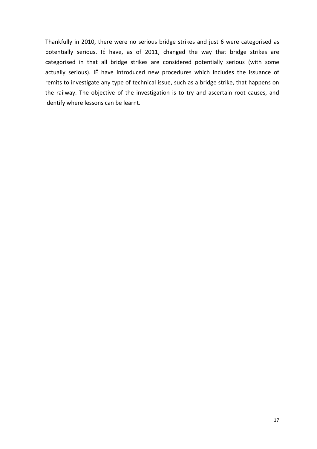Thankfully in 2010, there were no serious bridge strikes and just 6 were categorised as potentially serious. IÉ have, as of 2011, changed the way that bridge strikes are categorised in that all bridge strikes are considered potentially serious (with some actually serious). IÉ have introduced new procedures which includes the issuance of remits to investigate any type of technical issue, such as a bridge strike, that happens on the railway. The objective of the investigation is to try and ascertain root causes, and identify where lessons can be learnt.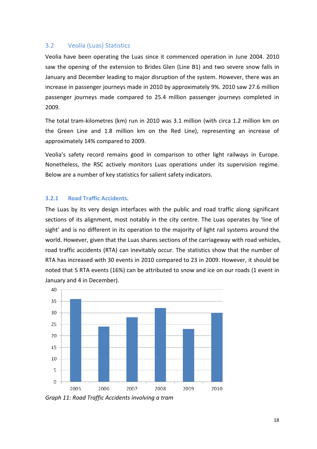## 3.2 Veolia (Luas) Statistics

Veolia have been operating the Luas since it commenced operation in June 2004. 2010 saw the opening of the extension to Brides Glen (Line B1) and two severe snow falls in January and December leading to major disruption of the system. However, there was an increase in passenger journeys made in 2010 by approximately 9%. 2010 saw 27.6 million passenger journeys made compared to 25.4 million passenger journeys completed in 2009.

The total tram-kilometres (km) run in 2010 was 3.1 million (with circa 1.2 million km on the Green Line and 1.8 million km on the Red Line), representing an increase of approximately 14% compared to 2009.

Veolia's safety record remains good in comparison to other light railways in Europe. Nonetheless, the RSC actively monitors Luas operations under its supervision regime. Below are a number of key statistics for salient safety indicators.

### **3.2.1 Road Traffic Accidents.**

The Luas by its very design interfaces with the public and road traffic along significant sections of its alignment, most notably in the city centre. The Luas operates by 'line of sight' and is no different in its operation to the majority of light rail systems around the world. However, given that the Luas shares sections of the carriageway with road vehicles, road traffic accidents (RTA) can inevitably occur. The statistics show that the number of RTA has increased with 30 events in 2010 compared to 23 in 2009. However, it should be noted that 5 RTA events (16%) can be attributed to snow and ice on our roads (1 event in January and 4 in December).



*Graph 11: Road Traffic Accidents involving a tram*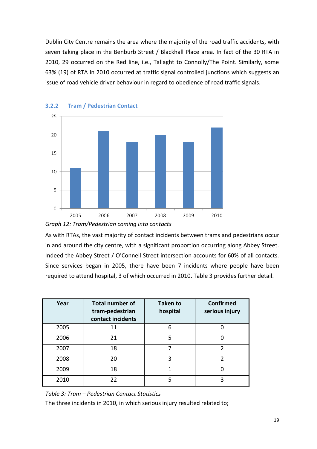Dublin City Centre remains the area where the majority of the road traffic accidents, with seven taking place in the Benburb Street / Blackhall Place area. In fact of the 30 RTA in 2010, 29 occurred on the Red line, i.e., Tallaght to Connolly/The Point. Similarly, some 63% (19) of RTA in 2010 occurred at traffic signal controlled junctions which suggests an issue of road vehicle driver behaviour in regard to obedience of road traffic signals.



#### **3.2.2 Tram / Pedestrian Contact**



As with RTAs, the vast majority of contact incidents between trams and pedestrians occur in and around the city centre, with a significant proportion occurring along Abbey Street. Indeed the Abbey Street / O'Connell Street intersection accounts for 60% of all contacts. Since services began in 2005, there have been 7 incidents where people have been required to attend hospital, 3 of which occurred in 2010. Table 3 provides further detail.

| Year | <b>Total number of</b><br>tram-pedestrian<br>contact incidents | <b>Taken to</b><br>hospital | <b>Confirmed</b><br>serious injury |
|------|----------------------------------------------------------------|-----------------------------|------------------------------------|
| 2005 | 11                                                             | 6                           |                                    |
| 2006 | 21                                                             | 5                           |                                    |
| 2007 | 18                                                             | 7                           | າ                                  |
| 2008 | 20                                                             | 3                           |                                    |
| 2009 | 18                                                             | 1                           |                                    |
| 2010 | 22                                                             | 5                           | ੨                                  |

*Table 3: Tram – Pedestrian Contact Statistics*

The three incidents in 2010, in which serious injury resulted related to;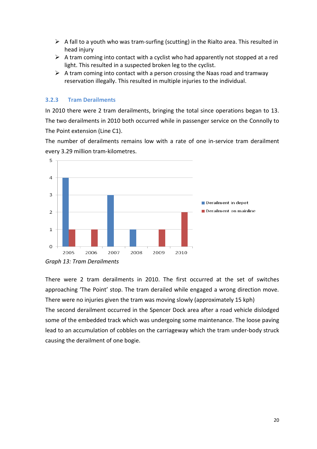- $\triangleright$  A fall to a youth who was tram-surfing (scutting) in the Rialto area. This resulted in head injury
- $\triangleright$  A tram coming into contact with a cyclist who had apparently not stopped at a red light. This resulted in a suspected broken leg to the cyclist.
- $\triangleright$  A tram coming into contact with a person crossing the Naas road and tramway reservation illegally. This resulted in multiple injuries to the individual.

#### **3.2.3 Tram Derailments**

In 2010 there were 2 tram derailments, bringing the total since operations began to 13. The two derailments in 2010 both occurred while in passenger service on the Connolly to The Point extension (Line C1).

The number of derailments remains low with a rate of one in-service tram derailment every 3.29 million tram-kilometres.



There were 2 tram derailments in 2010. The first occurred at the set of switches approaching 'The Point' stop. The tram derailed while engaged a wrong direction move. There were no injuries given the tram was moving slowly (approximately 15 kph) The second derailment occurred in the Spencer Dock area after a road vehicle dislodged some of the embedded track which was undergoing some maintenance. The loose paving lead to an accumulation of cobbles on the carriageway which the tram under-body struck causing the derailment of one bogie.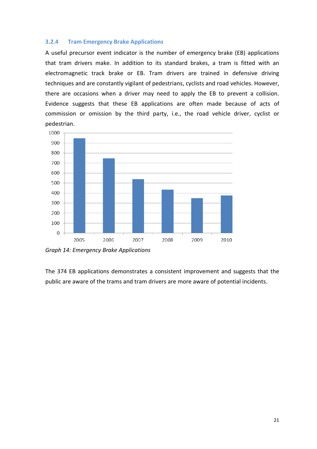#### **3.2.4 Tram Emergency Brake Applications**

A useful precursor event indicator is the number of emergency brake (EB) applications that tram drivers make. In addition to its standard brakes, a tram is fitted with an electromagnetic track brake or EB. Tram drivers are trained in defensive driving techniques and are constantly vigilant of pedestrians, cyclists and road vehicles. However, there are occasions when a driver may need to apply the EB to prevent a collision. Evidence suggests that these EB applications are often made because of acts of commission or omission by the third party, i.e., the road vehicle driver, cyclist or pedestrian.



*Graph 14: Emergency Brake Applications*

The 374 EB applications demonstrates a consistent improvement and suggests that the public are aware of the trams and tram drivers are more aware of potential incidents.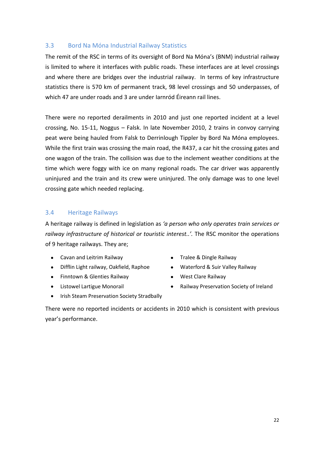### 3.3 Bord Na Móna Industrial Railway Statistics

The remit of the RSC in terms of its oversight of Bord Na Móna's (BNM) industrial railway is limited to where it interfaces with public roads. These interfaces are at level crossings and where there are bridges over the industrial railway. In terms of key infrastructure statistics there is 570 km of permanent track, 98 level crossings and 50 underpasses, of which 47 are under roads and 3 are under Iarnród Éireann rail lines.

There were no reported derailments in 2010 and just one reported incident at a level crossing, No. 15-11, Noggus – Falsk. In late November 2010, 2 trains in convoy carrying peat were being hauled from Falsk to Derrinlough Tippler by Bord Na Móna employees. While the first train was crossing the main road, the R437, a car hit the crossing gates and one wagon of the train. The collision was due to the inclement weather conditions at the time which were foggy with ice on many regional roads. The car driver was apparently uninjured and the train and its crew were uninjured. The only damage was to one level crossing gate which needed replacing.

### 3.4 Heritage Railways

A heritage railway is defined in legislation as *'a person who only operates train services or railway infrastructure of historical or touristic interest..'.* The RSC monitor the operations of 9 heritage railways. They are;

- Cavan and Leitrim Railway **Cavan and Leitrim Railway Cavan and Leitrim Railway**
- Difflin Light railway, Oakfield, Raphoe Waterford & Suir Valley Railway  $\bullet$
- $\bullet$ Finntown & Glenties Railway **Conservation Conservation** West Clare Railway
- -
- $\bullet$
- Listowel Lartigue Monorail **Railway Preservation Society of Ireland**
- Irish Steam Preservation Society Stradbally

There were no reported incidents or accidents in 2010 which is consistent with previous year's performance.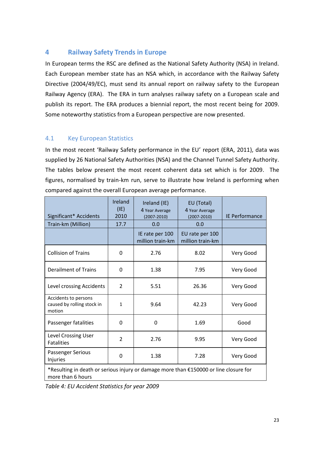# **4 Railway Safety Trends in Europe**

In European terms the RSC are defined as the National Safety Authority (NSA) in Ireland. Each European member state has an NSA which, in accordance with the Railway Safety Directive (2004/49/EC), must send its annual report on railway safety to the European Railway Agency (ERA). The ERA in turn analyses railway safety on a European scale and publish its report. The ERA produces a biennial report, the most recent being for 2009. Some noteworthy statistics from a European perspective are now presented.

# 4.1 Key European Statistics

In the most recent 'Railway Safety performance in the EU' report (ERA, 2011), data was supplied by 26 National Safety Authorities (NSA) and the Channel Tunnel Safety Authority. The tables below present the most recent coherent data set which is for 2009. The figures, normalised by train-km run, serve to illustrate how Ireland is performing when compared against the overall European average performance.

| Significant* Accidents                                                                                     | Ireland<br>(IE)<br>2010 | Ireland (IE)<br>4 Year Average<br>$(2007 - 2010)$ | EU (Total)<br>4 Year Average<br>$(2007 - 2010)$ | <b>IE Performance</b> |  |  |
|------------------------------------------------------------------------------------------------------------|-------------------------|---------------------------------------------------|-------------------------------------------------|-----------------------|--|--|
| Train-km (Million)                                                                                         | 17.7                    | 0.0                                               | 0.0                                             |                       |  |  |
|                                                                                                            |                         | IE rate per 100<br>million train-km               | EU rate per 100<br>million train-km             |                       |  |  |
| <b>Collision of Trains</b>                                                                                 | 0                       | 2.76                                              | 8.02                                            | Very Good             |  |  |
| Derailment of Trains                                                                                       | 0                       | 1.38                                              | 7.95                                            | Very Good             |  |  |
| Level crossing Accidents                                                                                   | $\overline{2}$          | 5.51                                              | 26.36                                           | Very Good             |  |  |
| Accidents to persons<br>caused by rolling stock in<br>motion                                               | $\mathbf{1}$            | 9.64                                              | 42.23                                           | Very Good             |  |  |
| Passenger fatalities                                                                                       | 0                       | 0                                                 | 1.69                                            | Good                  |  |  |
| Level Crossing User<br><b>Fatalities</b>                                                                   | $\overline{2}$          | 2.76                                              | 9.95                                            | Very Good             |  |  |
| Passenger Serious<br>Injuries                                                                              | 0                       | 1.38                                              | 7.28                                            | Very Good             |  |  |
| *Resulting in death or serious injury or damage more than €150000 or line closure for<br>more than 6 hours |                         |                                                   |                                                 |                       |  |  |

*Table 4: EU Accident Statistics for year 2009*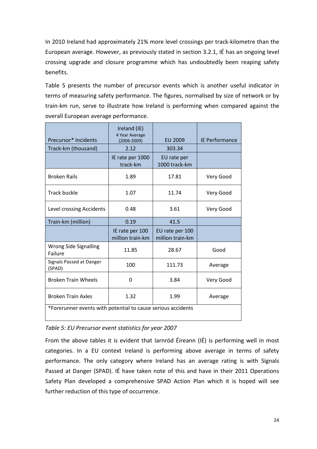In 2010 Ireland had approximately 21% more level crossings per track-kilometre than the European average. However, as previously stated in section 3.2.1, IÉ has an ongoing level crossing upgrade and closure programme which has undoubtedly been reaping safety benefits.

Table 5 presents the number of precursor events which is another useful indicator in terms of measuring safety performance. The figures, normalised by size of network or by train-km run, serve to illustrate how Ireland is performing when compared against the overall European average performance.

| Precursor* Incidents                                         | Ireland (IE)<br>4 Year Average<br>$(2006 - 2009)$ | EU 2009                             | IE Performance |
|--------------------------------------------------------------|---------------------------------------------------|-------------------------------------|----------------|
| Track-km (thousand)                                          | 2.12                                              | 303.34                              |                |
|                                                              | IE rate per 1000<br>track-km                      | EU rate per<br>1000 track-km        |                |
| <b>Broken Rails</b>                                          | 1.89                                              | 17.81                               | Very Good      |
| <b>Track buckle</b>                                          | 1.07                                              | 11.74                               | Very Good      |
| Level crossing Accidents                                     | 0.48                                              | 3.61                                | Very Good      |
| Train-km (million)                                           | 0.19                                              | 41.5                                |                |
|                                                              | IE rate per 100<br>million train-km               | EU rate per 100<br>million train-km |                |
| Wrong Side Signalling<br>Failure                             | 11.85                                             | 28.67                               | Good           |
| Signals Passed at Danger<br>(SPAD)                           | 100                                               | 111.73                              | Average        |
| <b>Broken Train Wheels</b>                                   | 0                                                 | 3.84                                | Very Good      |
| <b>Broken Train Axles</b>                                    | 1.32                                              | 1.99                                | Average        |
| *Forerunner events with potential to cause serious accidents |                                                   |                                     |                |

### *Table 5: EU Precursor event statistics for year 2007*

From the above tables it is evident that Iarnród Éireann (IÉ) is performing well in most categories. In a EU context Ireland is performing above average in terms of safety performance. The only category where Ireland has an average rating is with Signals Passed at Danger (SPAD). IÉ have taken note of this and have in their 2011 Operations Safety Plan developed a comprehensive SPAD Action Plan which it is hoped will see further reduction of this type of occurrence.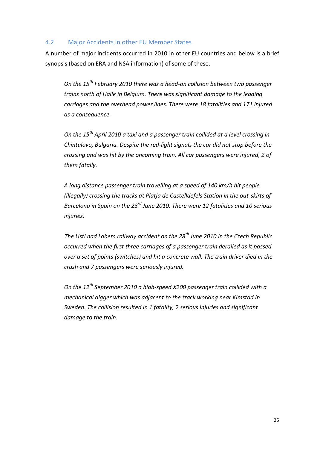### 4.2 Major Accidents in other EU Member States

A number of major incidents occurred in 2010 in other EU countries and below is a brief synopsis (based on ERA and NSA information) of some of these.

*On the 15th February 2010 there was a head-on collision between two passenger trains north of Halle in Belgium. There was significant damage to the leading carriages and the overhead power lines. There were 18 fatalities and 171 injured as a consequence.*

*On the 15th April 2010 a taxi and a passenger train collided at a level crossing in Chintulovo, Bulgaria. Despite the red-light signals the car did not stop before the crossing and was hit by the oncoming train. All car passengers were injured, 2 of them fatally.* 

*A long distance passenger train travelling at a speed of 140 km/h hit people (illegally) crossing the tracks at Platja de Castelldefels Station in the out-skirts of Barcelona in Spain on the 23rd June 2010. There were 12 fatalities and 10 serious injuries.*

*The Ustí nad Labem railway accident on the 28th June 2010 in the Czech Republic occurred when the first three carriages of a passenger train derailed as it passed over a set of points (switches) and hit a concrete wall. The train driver died in the crash and 7 passengers were seriously injured.*

*On the 12th September 2010 a high-speed X200 passenger train collided with a mechanical digger which was adjacent to the track working near Kimstad in Sweden. The collision resulted in 1 fatality, 2 serious injuries and significant damage to the train.*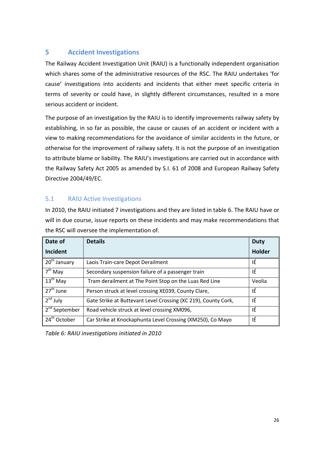# **5 Accident Investigations**

The Railway Accident Investigation Unit (RAIU) is a functionally independent organisation which shares some of the administrative resources of the RSC. The RAIU undertakes 'for cause' investigations into accidents and incidents that either meet specific criteria in terms of severity or could have, in slightly different circumstances, resulted in a more serious accident or incident.

The purpose of an investigation by the RAIU is to identify improvements railway safety by establishing, in so far as possible, the cause or causes of an accident or incident with a view to making recommendations for the avoidance of similar accidents in the future, or otherwise for the improvement of railway safety. It is not the purpose of an investigation to attribute blame or liability. The RAIU's investigations are carried out in accordance with the Railway Safety Act 2005 as amended by S.I. 61 of 2008 and European Railway Safety Directive 2004/49/EC.

# 5.1 RAIU Active Investigations

In 2010, the RAIU initiated 7 investigations and they are listed in table 6. The RAIU have or will in due course, issue reports on these incidents and may make recommendations that the RSC will oversee the implementation of.

| Date of                   | <b>Details</b>                                                 | <b>Duty</b>   |
|---------------------------|----------------------------------------------------------------|---------------|
| Incident                  |                                                                | <b>Holder</b> |
| $\sqrt{20^{th}}$ January  | Laois Train-care Depot Derailment                              | ΙÉ            |
| $7th$ May                 | Secondary suspension failure of a passenger train              | ΙÉ            |
| $13th$ May                | Tram derailment at The Point Stop on the Luas Red Line         | Veolia        |
| $\overline{27^{th}}$ June | Person struck at level crossing XE039, County Clare,           | ΙÉ            |
| $2nd$ July                | Gate Strike at Buttevant Level Crossing (XC 219), County Cork, | ΙÉ            |
| 2 <sup>nd</sup> September | Road vehicle struck at level crossing XM096,                   | ΙÉ            |
| 24 <sup>th</sup> October  | Car Strike at Knockaphunta Level Crossing (XM250), Co Mayo     | ΙÉ            |

*Table 6: RAIU investigations initiated in 2010*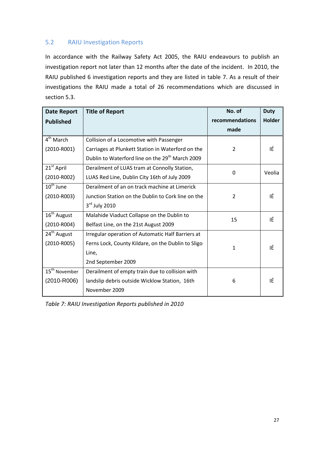# 5.2 RAIU Investigation Reports

In accordance with the Railway Safety Act 2005, the RAIU endeavours to publish an investigation report not later than 12 months after the date of the incident. In 2010, the RAIU published 6 investigation reports and they are listed in table 7. As a result of their investigations the RAIU made a total of 26 recommendations which are discussed in section 5.3.

| <b>Date Report</b>        | <b>Title of Report</b>                                      | No. of          | <b>Duty</b>   |
|---------------------------|-------------------------------------------------------------|-----------------|---------------|
| <b>Published</b>          |                                                             | recommendations | <b>Holder</b> |
|                           |                                                             | made            |               |
| 4 <sup>th</sup> March     | Collision of a Locomotive with Passenger                    |                 |               |
| $(2010 - R001)$           | Carriages at Plunkett Station in Waterford on the           | $\overline{2}$  | ΙÉ            |
|                           | Dublin to Waterford line on the 29 <sup>th</sup> March 2009 |                 |               |
| 21 <sup>st</sup> April    | Derailment of LUAS tram at Connolly Station,                | $\Omega$        | Veolia        |
| $(2010 - R002)$           | LUAS Red Line, Dublin City 16th of July 2009                |                 |               |
| $10th$ June               | Derailment of an on track machine at Limerick               |                 |               |
| $(2010 - R003)$           | Junction Station on the Dublin to Cork line on the          | $\overline{2}$  | ΙÉ            |
|                           | $3rd$ July 2010                                             |                 |               |
| 16 <sup>th</sup> August   | Malahide Viaduct Collapse on the Dublin to                  | 15              | IÉ            |
| $(2010 - R004)$           | Belfast Line, on the 21st August 2009                       |                 |               |
| 24 <sup>th</sup> August   | Irregular operation of Automatic Half Barriers at           |                 |               |
| $(2010 - R005)$           | Ferns Lock, County Kildare, on the Dublin to Sligo          | 1               | ΙÉ            |
|                           | Line,                                                       |                 |               |
|                           | 2nd September 2009                                          |                 |               |
| 15 <sup>th</sup> November | Derailment of empty train due to collision with             |                 |               |
| $(2010 - R006)$           | landslip debris outside Wicklow Station, 16th               | 6               | ΙÉ            |
|                           | November 2009                                               |                 |               |

*Table 7: RAIU Investigation Reports published in 2010*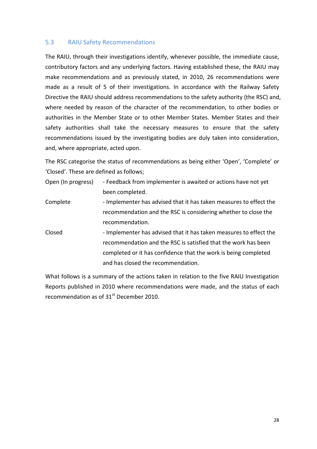#### 5.3 RAIU Safety Recommendations

The RAIU, through their investigations identify, whenever possible, the immediate cause, contributory factors and any underlying factors. Having established these, the RAIU may make recommendations and as previously stated, in 2010, 26 recommendations were made as a result of 5 of their investigations. In accordance with the Railway Safety Directive the RAIU should address recommendations to the safety authority (the RSC) and, where needed by reason of the character of the recommendation, to other bodies or authorities in the Member State or to other Member States. Member States and their safety authorities shall take the necessary measures to ensure that the safety recommendations issued by the investigating bodies are duly taken into consideration, and, where appropriate, acted upon.

The RSC categorise the status of recommendations as being either 'Open', 'Complete' or 'Closed'. These are defined as follows;

Open (In progress) - Feedback from implementer is awaited or actions have not yet been completed.

- Complete Implementer has advised that it has taken measures to effect the recommendation and the RSC is considering whether to close the recommendation.
- Closed Implementer has advised that it has taken measures to effect the recommendation and the RSC is satisfied that the work has been completed or it has confidence that the work is being completed and has closed the recommendation.

What follows is a summary of the actions taken in relation to the five RAIU Investigation Reports published in 2010 where recommendations were made, and the status of each recommendation as of  $31<sup>st</sup>$  December 2010.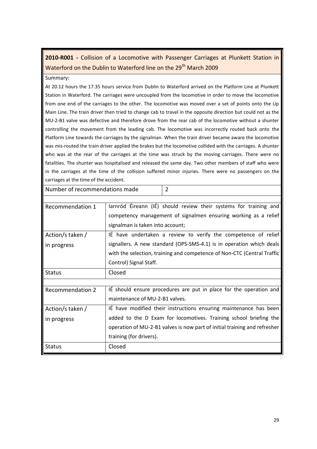# **2010-R001 -** Collision of a Locomotive with Passenger Carriages at Plunkett Station in Waterford on the Dublin to Waterford line on the 29<sup>th</sup> March 2009

#### Summary:

At 20.12 hours the 17.35 hours service from Dublin to Waterford arrived on the Platform Line at Plunkett Station in Waterford. The carriages were uncoupled from the locomotive in order to move the locomotive from one end of the carriages to the other. The locomotive was moved over a set of points onto the Up Main Line. The train driver then tried to change cab to travel in the opposite direction but could not as the MU-2-B1 valve was defective and therefore drove from the rear cab of the locomotive without a shunter controlling the movement from the leading cab. The locomotive was incorrectly routed back onto the Platform Line towards the carriages by the signalman. When the train driver became aware the locomotive was mis-routed the train driver applied the brakes but the locomotive collided with the carriages. A shunter who was at the rear of the carriages at the time was struck by the moving carriages. There were no fatalities. The shunter was hospitalised and released the same day. Two other members of staff who were in the carriages at the time of the collision suffered minor injuries. There were no passengers on the carriages at the time of the accident.

Number of recommendations made 2

| Recommendation 1        | Jarnród Éireann (IÉ) should review their systems for training and         |
|-------------------------|---------------------------------------------------------------------------|
|                         | competency management of signalmen ensuring working as a relief           |
|                         | signalman is taken into account;                                          |
| Action/s taken /        | IÉ have undertaken a review to verify the competence of relief            |
| in progress             | signallers. A new standard (OPS-SMS-4.1) is in operation which deals      |
|                         | with the selection, training and competence of Non-CTC (Central Traffic   |
|                         | Control) Signal Staff.                                                    |
| <b>Status</b>           | Closed                                                                    |
|                         |                                                                           |
| <b>Recommendation 2</b> | IE should ensure procedures are put in place for the operation and        |
|                         | maintenance of MU-2-B1 valves.                                            |
| Action/s taken /        | It have modified their instructions ensuring maintenance has been         |
| in progress             | added to the D Exam for locomotives. Training school briefing the         |
|                         | operation of MU-2-B1 valves is now part of initial training and refresher |
|                         | training (for drivers).                                                   |
| <b>Status</b>           | Closed                                                                    |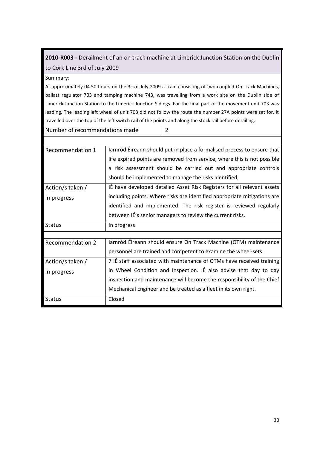# **2010-R003 -** Derailment of an on track machine at Limerick Junction Station on the Dublin to Cork Line 3rd of July 2009

#### Summary:

At approximately 04.50 hours on the 3rd of July 2009 a train consisting of two coupled On Track Machines, ballast regulator 703 and tamping machine 743, was travelling from a work site on the Dublin side of Limerick Junction Station to the Limerick Junction Sidings. For the final part of the movement unit 703 was leading. The leading left wheel of unit 703 did not follow the route the number 27A points were set for, it travelled over the top of the left switch rail of the points and along the stock rail before derailing.

| Number of recommendations made | $\vert$ 2 |
|--------------------------------|-----------|
|                                |           |

| Recommendation 1        | larnród Éireann should put in place a formalised process to ensure that  |
|-------------------------|--------------------------------------------------------------------------|
|                         | life expired points are removed from service, where this is not possible |
|                         | a risk assessment should be carried out and appropriate controls         |
|                         | should be implemented to manage the risks identified;                    |
| Action/s taken /        | IÉ have developed detailed Asset Risk Registers for all relevant assets  |
| in progress             | including points. Where risks are identified appropriate mitigations are |
|                         | identified and implemented. The risk register is reviewed regularly      |
|                         | between IE's senior managers to review the current risks.                |
| <b>Status</b>           | In progress                                                              |
|                         |                                                                          |
| <b>Recommendation 2</b> | Jarnród Éireann should ensure On Track Machine (OTM) maintenance         |
|                         | personnel are trained and competent to examine the wheel-sets.           |
| Action/s taken /        | 7 IÉ staff associated with maintenance of OTMs have received training    |
| in progress             | in Wheel Condition and Inspection. IÉ also advise that day to day        |
|                         | inspection and maintenance will become the responsibility of the Chief   |
|                         | Mechanical Engineer and be treated as a fleet in its own right.          |
| Status                  | Closed                                                                   |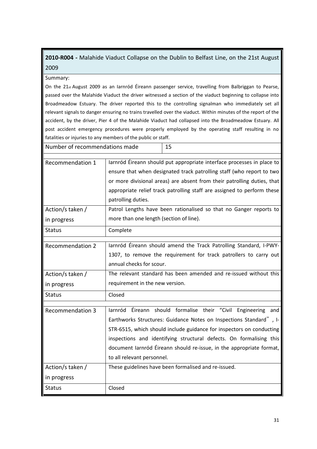# **2010-R004 -** Malahide Viaduct Collapse on the Dublin to Belfast Line, on the 21st August 2009

#### Summary:

On the 21 $st$  August 2009 as an Iarnród Éireann passenger service, travelling from Balbriggan to Pearse, passed over the Malahide Viaduct the driver witnessed a section of the viaduct beginning to collapse into Broadmeadow Estuary. The driver reported this to the controlling signalman who immediately set all relevant signals to danger ensuring no trains travelled over the viaduct. Within minutes of the report of the accident, by the driver, Pier 4 of the Malahide Viaduct had collapsed into the Broadmeadow Estuary. All post accident emergency procedures were properly employed by the operating staff resulting in no fatalities or injuries to any members of the public or staff.

| Number of recommendations made |                                                                                                                                                                                                                                                                                                                             | 15                                                                                                                                                                                                                                                                                                                                                 |  |
|--------------------------------|-----------------------------------------------------------------------------------------------------------------------------------------------------------------------------------------------------------------------------------------------------------------------------------------------------------------------------|----------------------------------------------------------------------------------------------------------------------------------------------------------------------------------------------------------------------------------------------------------------------------------------------------------------------------------------------------|--|
| Recommendation 1               | larnród Éireann should put appropriate interface processes in place to<br>ensure that when designated track patrolling staff (who report to two<br>or more divisional areas) are absent from their patrolling duties, that<br>appropriate relief track patrolling staff are assigned to perform these<br>patrolling duties. |                                                                                                                                                                                                                                                                                                                                                    |  |
| Action/s taken /               | Patrol Lengths have been rationalised so that no Ganger reports to                                                                                                                                                                                                                                                          |                                                                                                                                                                                                                                                                                                                                                    |  |
| in progress                    | more than one length (section of line).                                                                                                                                                                                                                                                                                     |                                                                                                                                                                                                                                                                                                                                                    |  |
| <b>Status</b>                  | Complete                                                                                                                                                                                                                                                                                                                    |                                                                                                                                                                                                                                                                                                                                                    |  |
| <b>Recommendation 2</b>        | annual checks for scour.                                                                                                                                                                                                                                                                                                    | larnród Éireann should amend the Track Patrolling Standard, I-PWY-<br>1307, to remove the requirement for track patrollers to carry out                                                                                                                                                                                                            |  |
| Action/s taken /               |                                                                                                                                                                                                                                                                                                                             | The relevant standard has been amended and re-issued without this                                                                                                                                                                                                                                                                                  |  |
| in progress                    | requirement in the new version.                                                                                                                                                                                                                                                                                             |                                                                                                                                                                                                                                                                                                                                                    |  |
| <b>Status</b>                  | Closed                                                                                                                                                                                                                                                                                                                      |                                                                                                                                                                                                                                                                                                                                                    |  |
| <b>Recommendation 3</b>        | Iarnród<br>to all relevant personnel.                                                                                                                                                                                                                                                                                       | Éireann should formalise their "Civil Engineering and<br>Earthworks Structures: Guidance Notes on Inspections Standard", I-<br>STR-6515, which should include guidance for inspectors on conducting<br>inspections and identifying structural defects. On formalising this<br>document larnród Éireann should re-issue, in the appropriate format, |  |
| Action/s taken /               |                                                                                                                                                                                                                                                                                                                             | These guidelines have been formalised and re-issued.                                                                                                                                                                                                                                                                                               |  |
| in progress                    |                                                                                                                                                                                                                                                                                                                             |                                                                                                                                                                                                                                                                                                                                                    |  |
| <b>Status</b>                  | Closed                                                                                                                                                                                                                                                                                                                      |                                                                                                                                                                                                                                                                                                                                                    |  |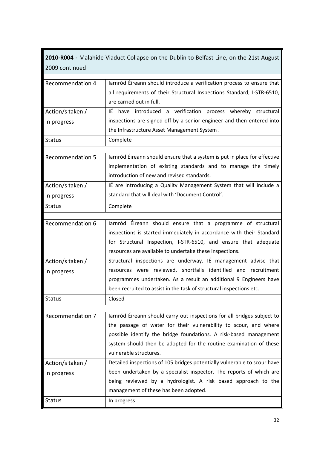**2010-R004 -** Malahide Viaduct Collapse on the Dublin to Belfast Line, on the 21st August 2009 continued

| <b>Recommendation 4</b> | larnród Éireann should introduce a verification process to ensure that    |
|-------------------------|---------------------------------------------------------------------------|
|                         | all requirements of their Structural Inspections Standard, I-STR-6510,    |
|                         | are carried out in full.                                                  |
| Action/s taken /        | IÉ have introduced a verification process whereby structural              |
| in progress             | inspections are signed off by a senior engineer and then entered into     |
|                         | the Infrastructure Asset Management System.                               |
| <b>Status</b>           | Complete                                                                  |
|                         |                                                                           |
| <b>Recommendation 5</b> | Jarnród Éireann should ensure that a system is put in place for effective |
|                         | implementation of existing standards and to manage the timely             |
|                         | introduction of new and revised standards.                                |
| Action/s taken /        | IÉ are introducing a Quality Management System that will include a        |
| in progress             | standard that will deal with 'Document Control'.                          |
| <b>Status</b>           | Complete                                                                  |
|                         |                                                                           |
| <b>Recommendation 6</b> | larnród Éireann should ensure that a programme of structural              |
|                         | inspections is started immediately in accordance with their Standard      |
|                         | for Structural Inspection, I-STR-6510, and ensure that adequate           |
|                         | resources are available to undertake these inspections.                   |
| Action/s taken /        | Structural inspections are underway. IÉ management advise that            |
| in progress             | resources were reviewed, shortfalls identified and recruitment            |
|                         | programmes undertaken. As a result an additional 9 Engineers have         |
|                         | been recruited to assist in the task of structural inspections etc.       |
| <b>Status</b>           | Closed                                                                    |
|                         |                                                                           |
| <b>Recommendation 7</b> | larnród Éireann should carry out inspections for all bridges subject to   |
|                         | the passage of water for their vulnerability to scour, and where          |
|                         | possible identify the bridge foundations. A risk-based management         |
|                         | system should then be adopted for the routine examination of these        |
|                         | vulnerable structures.                                                    |
| Action/s taken /        | Detailed inspections of 105 bridges potentially vulnerable to scour have  |
| in progress             | been undertaken by a specialist inspector. The reports of which are       |
|                         | being reviewed by a hydrologist. A risk based approach to the             |
|                         | management of these has been adopted.                                     |
| <b>Status</b>           | In progress                                                               |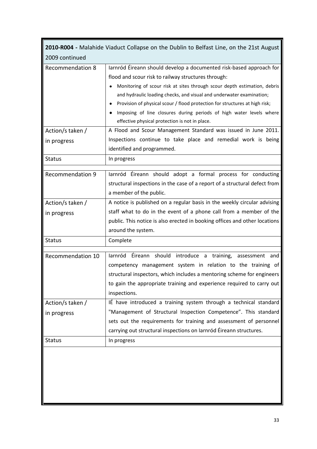| 2010-R004 - Malahide Viaduct Collapse on the Dublin to Belfast Line, on the 21st August |                                                                                                                                                                                                                                                                                                                                                                                                                                                                                                                                                                                                                           |  |
|-----------------------------------------------------------------------------------------|---------------------------------------------------------------------------------------------------------------------------------------------------------------------------------------------------------------------------------------------------------------------------------------------------------------------------------------------------------------------------------------------------------------------------------------------------------------------------------------------------------------------------------------------------------------------------------------------------------------------------|--|
| 2009 continued                                                                          |                                                                                                                                                                                                                                                                                                                                                                                                                                                                                                                                                                                                                           |  |
| <b>Recommendation 8</b><br>Action/s taken /                                             | Jarnród Éireann should develop a documented risk-based approach for<br>flood and scour risk to railway structures through:<br>Monitoring of scour risk at sites through scour depth estimation, debris<br>and hydraulic loading checks, and visual and underwater examination;<br>Provision of physical scour / flood protection for structures at high risk;<br>Imposing of line closures during periods of high water levels where<br>effective physical protection is not in place.<br>A Flood and Scour Management Standard was issued in June 2011.<br>Inspections continue to take place and remedial work is being |  |
| in progress                                                                             | identified and programmed.                                                                                                                                                                                                                                                                                                                                                                                                                                                                                                                                                                                                |  |
| <b>Status</b>                                                                           | In progress                                                                                                                                                                                                                                                                                                                                                                                                                                                                                                                                                                                                               |  |
| <b>Recommendation 9</b>                                                                 | larnród Éireann should adopt a formal process for conducting<br>structural inspections in the case of a report of a structural defect from<br>a member of the public.                                                                                                                                                                                                                                                                                                                                                                                                                                                     |  |
| Action/s taken /<br>in progress                                                         | A notice is published on a regular basis in the weekly circular advising<br>staff what to do in the event of a phone call from a member of the<br>public. This notice is also erected in booking offices and other locations<br>around the system.                                                                                                                                                                                                                                                                                                                                                                        |  |
| <b>Status</b>                                                                           | Complete                                                                                                                                                                                                                                                                                                                                                                                                                                                                                                                                                                                                                  |  |
| Recommendation 10                                                                       | Éireann should introduce a training, assessment and<br>larnród<br>competency management system in relation to the training of<br>structural inspectors, which includes a mentoring scheme for engineers<br>to gain the appropriate training and experience required to carry out<br>inspections.                                                                                                                                                                                                                                                                                                                          |  |
| Action/s taken /<br>in progress                                                         | IÉ have introduced a training system through a technical standard<br>"Management of Structural Inspection Competence". This standard<br>sets out the requirements for training and assessment of personnel<br>carrying out structural inspections on Iarnród Éireann structures.                                                                                                                                                                                                                                                                                                                                          |  |
| <b>Status</b>                                                                           | In progress                                                                                                                                                                                                                                                                                                                                                                                                                                                                                                                                                                                                               |  |
|                                                                                         |                                                                                                                                                                                                                                                                                                                                                                                                                                                                                                                                                                                                                           |  |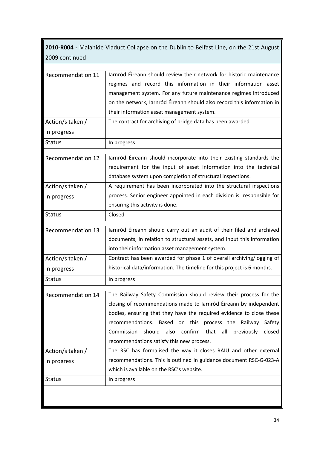**2010-R004 -** Malahide Viaduct Collapse on the Dublin to Belfast Line, on the 21st August 2009 continued

| Recommendation 11 | larnród Éireann should review their network for historic maintenance    |  |  |  |
|-------------------|-------------------------------------------------------------------------|--|--|--|
|                   | regimes and record this information in their information asset          |  |  |  |
|                   | management system. For any future maintenance regimes introduced        |  |  |  |
|                   | on the network, Iarnród Éireann should also record this information in  |  |  |  |
|                   | their information asset management system.                              |  |  |  |
| Action/s taken /  | The contract for archiving of bridge data has been awarded.             |  |  |  |
| in progress       |                                                                         |  |  |  |
| <b>Status</b>     | In progress                                                             |  |  |  |
| Recommendation 12 | larnród Éireann should incorporate into their existing standards the    |  |  |  |
|                   | requirement for the input of asset information into the technical       |  |  |  |
|                   | database system upon completion of structural inspections.              |  |  |  |
| Action/s taken /  | A requirement has been incorporated into the structural inspections     |  |  |  |
|                   | process. Senior engineer appointed in each division is responsible for  |  |  |  |
| in progress       | ensuring this activity is done.                                         |  |  |  |
| <b>Status</b>     | Closed                                                                  |  |  |  |
|                   |                                                                         |  |  |  |
| Recommendation 13 | larnród Éireann should carry out an audit of their filed and archived   |  |  |  |
|                   | documents, in relation to structural assets, and input this information |  |  |  |
|                   | into their information asset management system.                         |  |  |  |
| Action/s taken /  | Contract has been awarded for phase 1 of overall archiving/logging of   |  |  |  |
| in progress       | historical data/information. The timeline for this project is 6 months. |  |  |  |
| <b>Status</b>     | In progress                                                             |  |  |  |
| Recommendation 14 | The Railway Safety Commission should review their process for the       |  |  |  |
|                   | closing of recommendations made to larnród Éireann by independent       |  |  |  |
|                   | bodies, ensuring that they have the required evidence to close these    |  |  |  |
|                   | recommendations. Based on this process the Railway<br>Safety            |  |  |  |
|                   | confirm that all<br>Commission<br>should also<br>previously<br>closed   |  |  |  |
|                   | recommendations satisfy this new process.                               |  |  |  |
| Action/s taken /  | The RSC has formalised the way it closes RAIU and other external        |  |  |  |
| in progress       | recommendations. This is outlined in guidance document RSC-G-023-A      |  |  |  |
|                   | which is available on the RSC's website.                                |  |  |  |
| <b>Status</b>     | In progress                                                             |  |  |  |
|                   |                                                                         |  |  |  |
|                   |                                                                         |  |  |  |
|                   |                                                                         |  |  |  |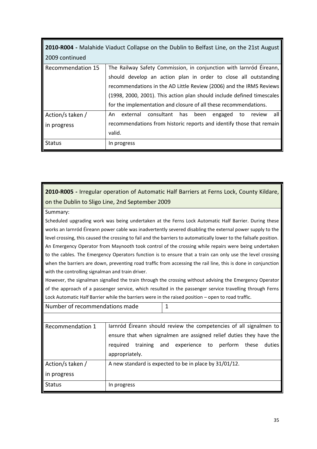| <b>2010-R004</b> - Malahide Viaduct Collapse on the Dublin to Belfast Line, on the 21st August |                                                                         |  |  |  |  |
|------------------------------------------------------------------------------------------------|-------------------------------------------------------------------------|--|--|--|--|
| 2009 continued                                                                                 |                                                                         |  |  |  |  |
| Recommendation 15                                                                              | The Railway Safety Commission, in conjunction with larnród Éireann,     |  |  |  |  |
|                                                                                                | should develop an action plan in order to close all outstanding         |  |  |  |  |
|                                                                                                | recommendations in the AD Little Review (2006) and the IRMS Reviews     |  |  |  |  |
|                                                                                                | (1998, 2000, 2001). This action plan should include defined timescales  |  |  |  |  |
|                                                                                                | for the implementation and closure of all these recommendations.        |  |  |  |  |
| Action/s taken /                                                                               | consultant has been<br>external<br>all<br>An<br>engaged<br>to<br>review |  |  |  |  |
| in progress                                                                                    | recommendations from historic reports and identify those that remain    |  |  |  |  |
|                                                                                                | valid.                                                                  |  |  |  |  |
| <b>Status</b>                                                                                  | In progress                                                             |  |  |  |  |

# **2010-R005 -** Irregular operation of Automatic Half Barriers at Ferns Lock, County Kildare, on the Dublin to Sligo Line, 2nd September 2009

#### Summary:

Scheduled upgrading work was being undertaken at the Ferns Lock Automatic Half Barrier. During these works an Iarnród Éireann power cable was inadvertently severed disabling the external power supply to the level crossing, this caused the crossing to fail and the barriers to automatically lower to the failsafe position. An Emergency Operator from Maynooth took control of the crossing while repairs were being undertaken to the cables. The Emergency Operators function is to ensure that a train can only use the level crossing when the barriers are down, preventing road traffic from accessing the rail line, this is done in conjunction with the controlling signalman and train driver.

However, the signalman signalled the train through the crossing without advising the Emergency Operator of the approach of a passenger service, which resulted in the passenger service travelling through Ferns Lock Automatic Half Barrier while the barriers were in the raised position – open to road traffic.

| Number of recommendations made                                      |                                                                    | 1 |                                          |  |        |
|---------------------------------------------------------------------|--------------------------------------------------------------------|---|------------------------------------------|--|--------|
|                                                                     |                                                                    |   |                                          |  |        |
| Recommendation 1                                                    | larnród Éireann should review the competencies of all signalmen to |   |                                          |  |        |
| ensure that when signalmen are assigned relief duties they have the |                                                                    |   |                                          |  |        |
|                                                                     | required                                                           |   | training and experience to perform these |  | duties |
|                                                                     | appropriately.                                                     |   |                                          |  |        |
| Action/s taken /                                                    | A new standard is expected to be in place by 31/01/12.             |   |                                          |  |        |
| in progress                                                         |                                                                    |   |                                          |  |        |
| <b>Status</b>                                                       | In progress                                                        |   |                                          |  |        |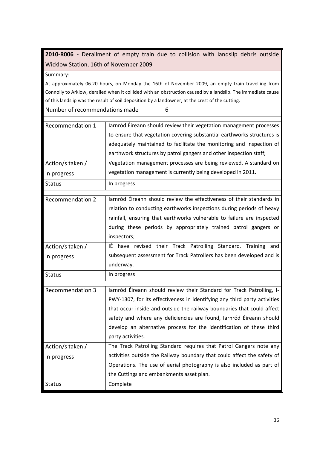**2010-R006 -** Derailment of empty train due to collision with landslip debris outside Wicklow Station, 16th of November 2009

Summary:

At approximately 06.20 hours, on Monday the 16th of November 2009, an empty train travelling from Connolly to Arklow, derailed when it collided with an obstruction caused by a landslip. The immediate cause of this landslip was the result of soil deposition by a landowner, at the crest of the cutting.

| Number of recommendations made |                                                                                                                                                                                                                                                                                              | 6                                                                                                                                                                                                                                                                                                                                                                           |  |
|--------------------------------|----------------------------------------------------------------------------------------------------------------------------------------------------------------------------------------------------------------------------------------------------------------------------------------------|-----------------------------------------------------------------------------------------------------------------------------------------------------------------------------------------------------------------------------------------------------------------------------------------------------------------------------------------------------------------------------|--|
| Recommendation 1               | larnród Éireann should review their vegetation management processes<br>to ensure that vegetation covering substantial earthworks structures is<br>adequately maintained to facilitate the monitoring and inspection of<br>earthwork structures by patrol gangers and other inspection staff; |                                                                                                                                                                                                                                                                                                                                                                             |  |
| Action/s taken /               |                                                                                                                                                                                                                                                                                              | Vegetation management processes are being reviewed. A standard on                                                                                                                                                                                                                                                                                                           |  |
| in progress                    |                                                                                                                                                                                                                                                                                              | vegetation management is currently being developed in 2011.                                                                                                                                                                                                                                                                                                                 |  |
| <b>Status</b>                  | In progress                                                                                                                                                                                                                                                                                  |                                                                                                                                                                                                                                                                                                                                                                             |  |
| <b>Recommendation 2</b>        | inspectors;                                                                                                                                                                                                                                                                                  | Jarnród Éireann should review the effectiveness of their standards in<br>relation to conducting earthworks inspections during periods of heavy<br>rainfall, ensuring that earthworks vulnerable to failure are inspected<br>during these periods by appropriately trained patrol gangers or                                                                                 |  |
| Action/s taken /               |                                                                                                                                                                                                                                                                                              | IÉ have revised their Track Patrolling Standard. Training and                                                                                                                                                                                                                                                                                                               |  |
| in progress                    | underway.                                                                                                                                                                                                                                                                                    | subsequent assessment for Track Patrollers has been developed and is                                                                                                                                                                                                                                                                                                        |  |
| <b>Status</b>                  | In progress                                                                                                                                                                                                                                                                                  |                                                                                                                                                                                                                                                                                                                                                                             |  |
| <b>Recommendation 3</b>        | party activities.                                                                                                                                                                                                                                                                            | Iarnród Éireann should review their Standard for Track Patrolling, I-<br>PWY-1307, for its effectiveness in identifying any third party activities<br>that occur inside and outside the railway boundaries that could affect<br>safety and where any deficiencies are found, larnród Éireann should<br>develop an alternative process for the identification of these third |  |
| Action/s taken /               |                                                                                                                                                                                                                                                                                              | The Track Patrolling Standard requires that Patrol Gangers note any                                                                                                                                                                                                                                                                                                         |  |
| in progress                    |                                                                                                                                                                                                                                                                                              | activities outside the Railway boundary that could affect the safety of                                                                                                                                                                                                                                                                                                     |  |
|                                | the Cuttings and embankments asset plan.                                                                                                                                                                                                                                                     | Operations. The use of aerial photography is also included as part of                                                                                                                                                                                                                                                                                                       |  |
| <b>Status</b>                  | Complete                                                                                                                                                                                                                                                                                     |                                                                                                                                                                                                                                                                                                                                                                             |  |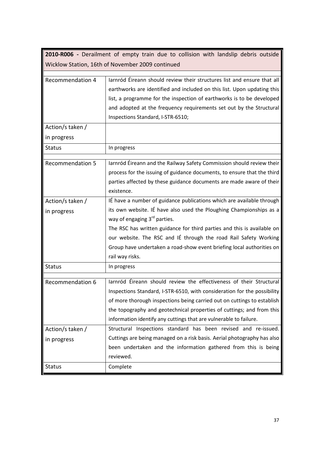| 2010-R006 - Derailment of empty train due to collision with landslip debris outside |                                                                                                                                                                                                                                                                                                                                                                                                                         |  |
|-------------------------------------------------------------------------------------|-------------------------------------------------------------------------------------------------------------------------------------------------------------------------------------------------------------------------------------------------------------------------------------------------------------------------------------------------------------------------------------------------------------------------|--|
|                                                                                     | Wicklow Station, 16th of November 2009 continued                                                                                                                                                                                                                                                                                                                                                                        |  |
| <b>Recommendation 4</b>                                                             | larnród Éireann should review their structures list and ensure that all<br>earthworks are identified and included on this list. Upon updating this<br>list, a programme for the inspection of earthworks is to be developed<br>and adopted at the frequency requirements set out by the Structural<br>Inspections Standard, I-STR-6510;                                                                                 |  |
| Action/s taken /                                                                    |                                                                                                                                                                                                                                                                                                                                                                                                                         |  |
| in progress                                                                         |                                                                                                                                                                                                                                                                                                                                                                                                                         |  |
| <b>Status</b>                                                                       | In progress                                                                                                                                                                                                                                                                                                                                                                                                             |  |
| <b>Recommendation 5</b>                                                             | Iarnród Éireann and the Railway Safety Commission should review their<br>process for the issuing of guidance documents, to ensure that the third<br>parties affected by these guidance documents are made aware of their<br>existence.                                                                                                                                                                                  |  |
| Action/s taken /<br>in progress                                                     | IÉ have a number of guidance publications which are available through<br>its own website. IÉ have also used the Ploughing Championships as a<br>way of engaging 3rd parties.<br>The RSC has written guidance for third parties and this is available on<br>our website. The RSC and IÉ through the road Rail Safety Working<br>Group have undertaken a road-show event briefing local authorities on<br>rail way risks. |  |
| <b>Status</b>                                                                       | In progress                                                                                                                                                                                                                                                                                                                                                                                                             |  |
| Recommendation 6                                                                    | larnród Éireann should review the effectiveness of their Structural<br>Inspections Standard, I-STR-6510, with consideration for the possibility<br>of more thorough inspections being carried out on cuttings to establish<br>the topography and geotechnical properties of cuttings; and from this<br>information identify any cuttings that are vulnerable to failure.                                                |  |
| Action/s taken /                                                                    | Structural Inspections standard has been revised and re-issued.                                                                                                                                                                                                                                                                                                                                                         |  |
| in progress                                                                         | Cuttings are being managed on a risk basis. Aerial photography has also<br>been undertaken and the information gathered from this is being<br>reviewed.                                                                                                                                                                                                                                                                 |  |
| <b>Status</b>                                                                       | Complete                                                                                                                                                                                                                                                                                                                                                                                                                |  |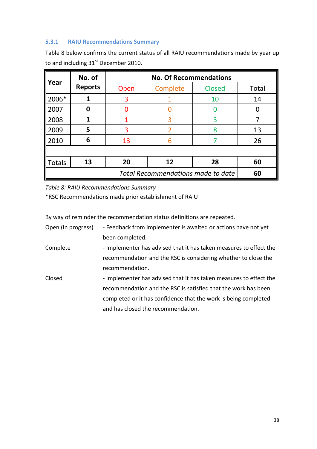# **5.3.1 RAIU Recommendations Summary**

Table 8 below confirms the current status of all RAIU recommendations made by year up to and including 31<sup>st</sup> December 2010.

| l Year                                    | No. of<br><b>Reports</b> | <b>No. Of Recommendations</b> |                |               |       |  |
|-------------------------------------------|--------------------------|-------------------------------|----------------|---------------|-------|--|
|                                           |                          | Open                          | Complete       | <b>Closed</b> | Total |  |
| 2006*                                     |                          | 3                             |                | 10            | 14    |  |
| 2007                                      | 0                        | O                             |                |               | O     |  |
| 2008                                      | 1                        |                               | 3              | 3             |       |  |
| 2009                                      | 5                        | 3                             | $\overline{2}$ | 8             | 13    |  |
| 2010                                      | 6                        | 13                            | 6              |               | 26    |  |
|                                           |                          |                               |                |               |       |  |
| Totals                                    | 13                       | 20                            | 12             | 28            | 60    |  |
| <b>Total Recommendations made to date</b> |                          |                               |                |               | 60    |  |

*Table 8: RAIU Recommendations Summary*

\*RSC Recommendations made prior establishment of RAIU

By way of reminder the recommendation status definitions are repeated.

| Open (In progress) | - Feedback from implementer is awaited or actions have not yet     |
|--------------------|--------------------------------------------------------------------|
|                    | been completed.                                                    |
| Complete           | - Implementer has advised that it has taken measures to effect the |
|                    | recommendation and the RSC is considering whether to close the     |
|                    | recommendation.                                                    |
| Closed             | - Implementer has advised that it has taken measures to effect the |
|                    | recommendation and the RSC is satisfied that the work has been     |
|                    | completed or it has confidence that the work is being completed    |
|                    | and has closed the recommendation.                                 |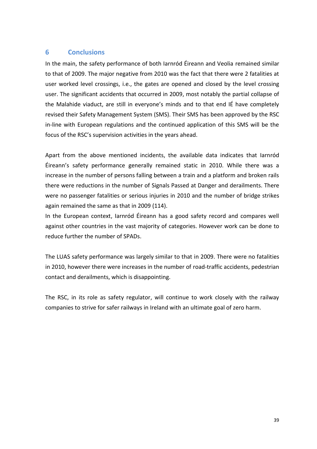## **6 Conclusions**

In the main, the safety performance of both Iarnród Éireann and Veolia remained similar to that of 2009. The major negative from 2010 was the fact that there were 2 fatalities at user worked level crossings, i.e., the gates are opened and closed by the level crossing user. The significant accidents that occurred in 2009, most notably the partial collapse of the Malahide viaduct, are still in everyone's minds and to that end IÉ have completely revised their Safety Management System (SMS). Their SMS has been approved by the RSC in-line with European regulations and the continued application of this SMS will be the focus of the RSC's supervision activities in the years ahead.

Apart from the above mentioned incidents, the available data indicates that Iarnród Éireann's safety performance generally remained static in 2010. While there was a increase in the number of persons falling between a train and a platform and broken rails there were reductions in the number of Signals Passed at Danger and derailments. There were no passenger fatalities or serious injuries in 2010 and the number of bridge strikes again remained the same as that in 2009 (114).

In the European context, Iarnród Éireann has a good safety record and compares well against other countries in the vast majority of categories. However work can be done to reduce further the number of SPADs.

The LUAS safety performance was largely similar to that in 2009. There were no fatalities in 2010, however there were increases in the number of road-traffic accidents, pedestrian contact and derailments, which is disappointing.

The RSC, in its role as safety regulator, will continue to work closely with the railway companies to strive for safer railways in Ireland with an ultimate goal of zero harm.